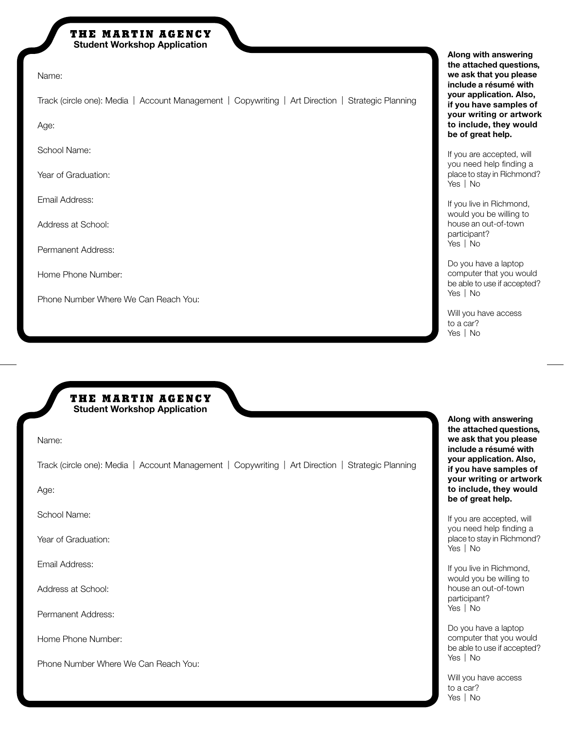## THE MARTIN AGENCY **Student Workshop Application**

Name:

Track (circle one): Media | Account Management | Copywriting | Art Direction | Strategic Planning

Age:

School Name:

Year of Graduation:

Email Address:

Address at School:

Permanent Address:

Home Phone Number:

Phone Number Where We Can Reach You:

**Along with answering the attached questions, we ask that you please include a résumé with your application. Also, if you have samples of your writing or artwork to include, they would be of great help.** 

If you are accepted, will you need help finding a place to stay in Richmond? Yes | No

If you live in Richmond, would you be willing to house an out-of-town participant? Yes | No

Do you have a laptop computer that you would be able to use if accepted? Yes | No

Will you have access to a car? Yes | No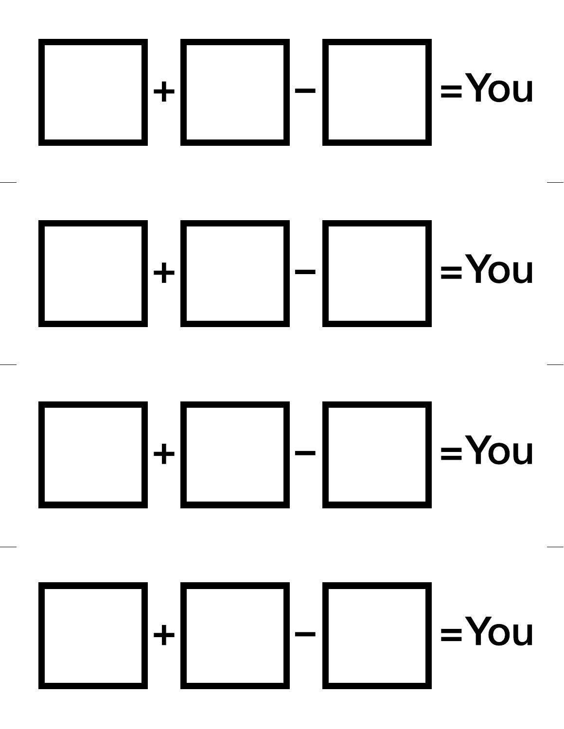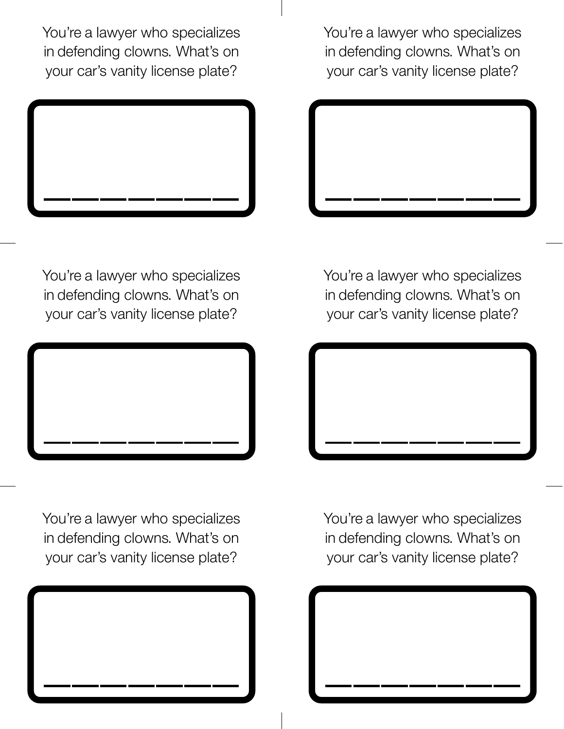You're a lawyer who specializes in defending clowns. What's on your car's vanity license plate?

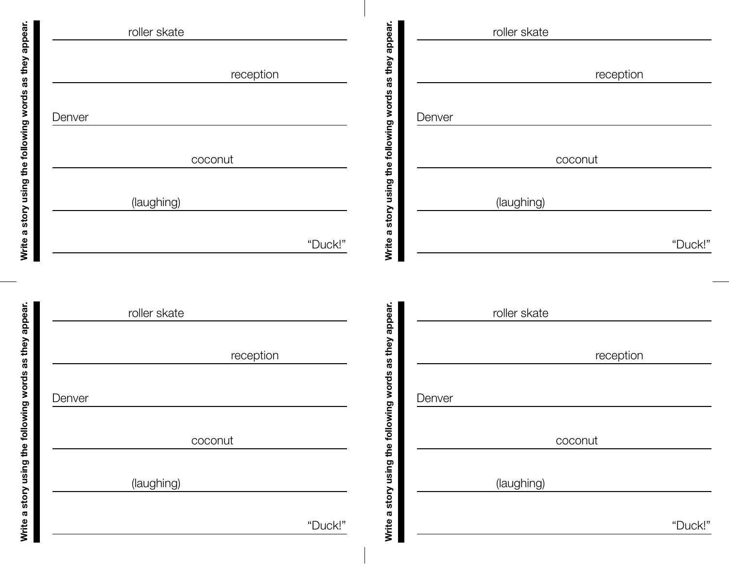

Write a story using the following words as they appear. **Write a story using the following words as they appear.**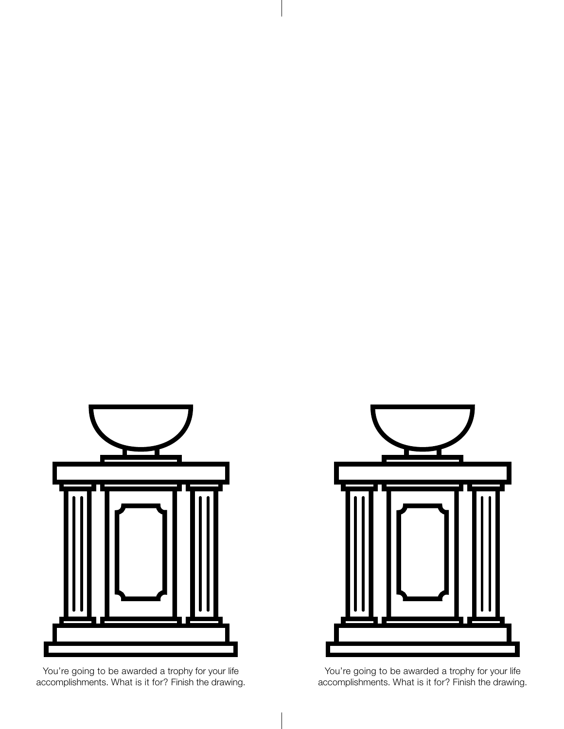

You're going to be awarded a trophy for your life accomplishments. What is it for? Finish the drawing.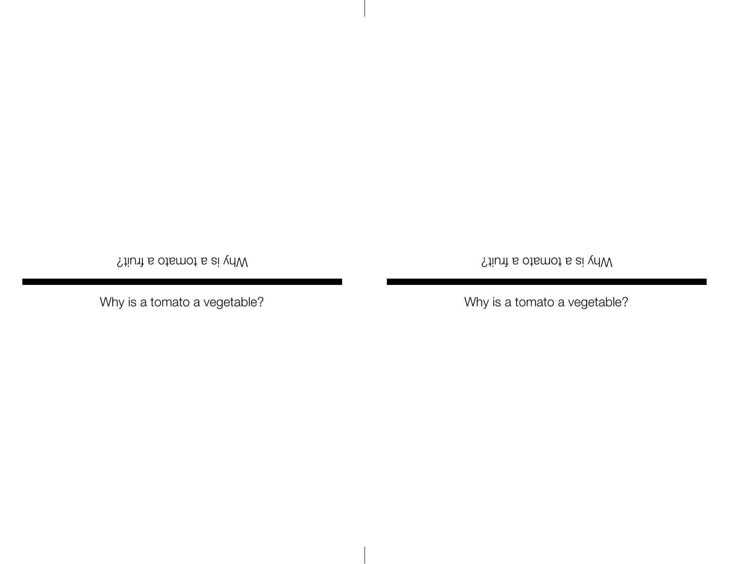Yhy is a tomato a fruit?

Why is a tomato a vegetable?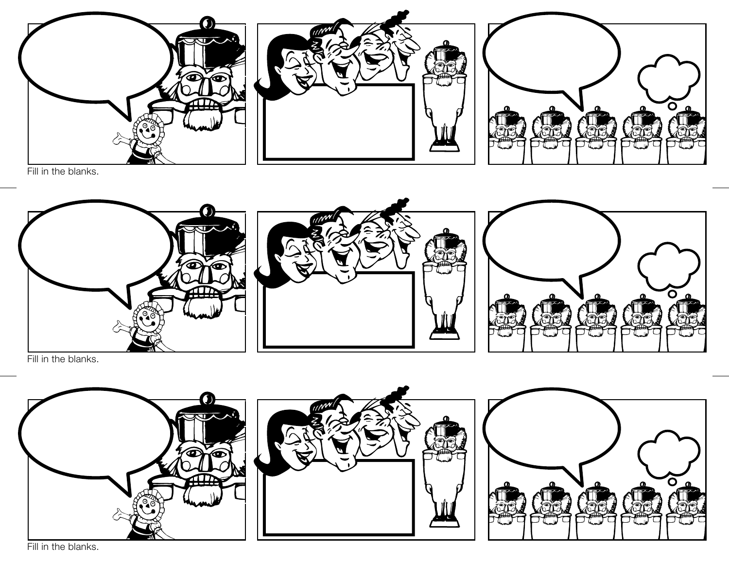

Fill in the blanks.